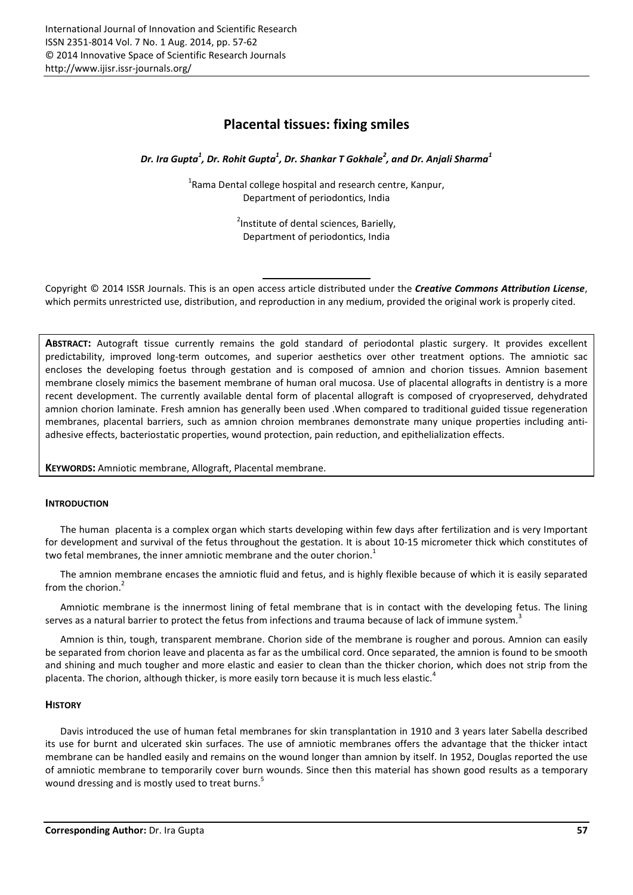# Placental tissues: fixing smiles

*Dr. Ira Gupta<sup>1</sup> , Dr. Rohit Gupta<sup>1</sup> , Dr. Shankar T Gokhale<sup>2</sup> , and Dr. Anjali Sharma<sup>1</sup>*

<sup>1</sup>Rama Dental college hospital and research centre, Kanpur, Department of periodontics, India

> <sup>2</sup>Institute of dental sciences, Barielly, Department of periodontics, India

Copyright © 2014 ISSR Journals. This is an open access article distributed under the *Creative Commons Attribution License*, which permits unrestricted use, distribution, and reproduction in any medium, provided the original work is properly cited.

ABSTRACT: Autograft tissue currently remains the gold standard of periodontal plastic surgery. It provides excellent predictability, improved long-term outcomes, and superior aesthetics over other treatment options. The amniotic sac encloses the developing foetus through gestation and is composed of amnion and chorion tissues. Amnion basement membrane closely mimics the basement membrane of human oral mucosa. Use of placental allografts in dentistry is a more recent development. The currently available dental form of placental allograft is composed of cryopreserved, dehydrated amnion chorion laminate. Fresh amnion has generally been used .When compared to traditional guided tissue regeneration membranes, placental barriers, such as amnion chroion membranes demonstrate many unique properties including antiadhesive effects, bacteriostatic properties, wound protection, pain reduction, and epithelialization effects.

KEYWORDS: Amniotic membrane, Allograft, Placental membrane.

## **INTRODUCTION**

The human placenta is a complex organ which starts developing within few days after fertilization and is very Important for development and survival of the fetus throughout the gestation. It is about 10-15 micrometer thick which constitutes of two fetal membranes, the inner amniotic membrane and the outer chorion. $1$ 

The amnion membrane encases the amniotic fluid and fetus, and is highly flexible because of which it is easily separated from the chorion.<sup>2</sup>

Amniotic membrane is the innermost lining of fetal membrane that is in contact with the developing fetus. The lining serves as a natural barrier to protect the fetus from infections and trauma because of lack of immune system.<sup>3</sup>

Amnion is thin, tough, transparent membrane. Chorion side of the membrane is rougher and porous. Amnion can easily be separated from chorion leave and placenta as far as the umbilical cord. Once separated, the amnion is found to be smooth and shining and much tougher and more elastic and easier to clean than the thicker chorion, which does not strip from the placenta. The chorion, although thicker, is more easily torn because it is much less elastic.<sup>4</sup>

## **HISTORY**

Davis introduced the use of human fetal membranes for skin transplantation in 1910 and 3 years later Sabella described its use for burnt and ulcerated skin surfaces. The use of amniotic membranes offers the advantage that the thicker intact membrane can be handled easily and remains on the wound longer than amnion by itself. In 1952, Douglas reported the use of amniotic membrane to temporarily cover burn wounds. Since then this material has shown good results as a temporary wound dressing and is mostly used to treat burns.<sup>5</sup>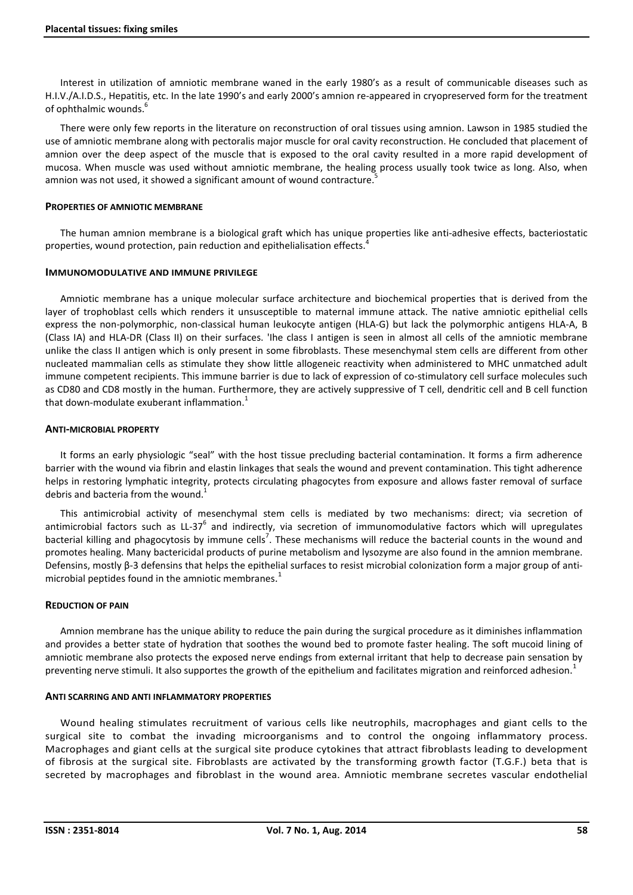Interest in utilization of amniotic membrane waned in the early 1980's as a result of communicable diseases such as H.I.V./A.I.D.S., Hepatitis, etc. In the late 1990's and early 2000's amnion re-appeared in cryopreserved form for the treatment of ophthalmic wounds.

There were only few reports in the literature on reconstruction of oral tissues using amnion. Lawson in 1985 studied the use of amniotic membrane along with pectoralis major muscle for oral cavity reconstruction. He concluded that placement of amnion over the deep aspect of the muscle that is exposed to the oral cavity resulted in a more rapid development of mucosa. When muscle was used without amniotic membrane, the healing process usually took twice as long. Also, when amnion was not used, it showed a significant amount of wound contracture.<sup>5</sup>

## PROPERTIES OF AMNIOTIC MEMBRANE

The human amnion membrane is a biological graft which has unique properties like anti-adhesive effects, bacteriostatic properties, wound protection, pain reduction and epithelialisation effects.<sup>4</sup>

## IMMUNOMODULATIVE AND IMMUNE PRIVILEGE

Amniotic membrane has a unique molecular surface architecture and biochemical properties that is derived from the layer of trophoblast cells which renders it unsusceptible to maternal immune attack. The native amniotic epithelial cells express the non-polymorphic, non-classical human leukocyte antigen (HLA-G) but lack the polymorphic antigens HLA-A, B (Class IA) and HLA-DR (Class II) on their surfaces. 'Ihe class I antigen is seen in almost all cells of the amniotic membrane unlike the class II antigen which is only present in some fibroblasts. These mesenchymal stem cells are different from other nucleated mammalian cells as stimulate they show little allogeneic reactivity when administered to MHC unmatched adult immune competent recipients. This immune barrier is due to lack of expression of co-stimulatory cell surface molecules such as CD80 and CD8 mostly in the human. Furthermore, they are actively suppressive of T cell, dendritic cell and B cell function that down-modulate exuberant inflammation. $1$ 

## ANTI-MICROBIAL PROPERTY

It forms an early physiologic "seal" with the host tissue precluding bacterial contamination. It forms a firm adherence barrier with the wound via fibrin and elastin linkages that seals the wound and prevent contamination. This tight adherence helps in restoring lymphatic integrity, protects circulating phagocytes from exposure and allows faster removal of surface debris and bacteria from the wound.<sup>1</sup>

This antimicrobial activity of mesenchymal stem cells is mediated by two mechanisms: direct; via secretion of antimicrobial factors such as LL-37 $^6$  and indirectly, via secretion of immunomodulative factors which will upregulates bacterial killing and phagocytosis by immune cells<sup>7</sup>. These mechanisms will reduce the bacterial counts in the wound and promotes healing. Many bactericidal products of purine metabolism and lysozyme are also found in the amnion membrane. Defensins, mostly β-3 defensins that helps the epithelial surfaces to resist microbial colonization form a major group of antimicrobial peptides found in the amniotic membranes.<sup>1</sup>

## REDUCTION OF PAIN

Amnion membrane has the unique ability to reduce the pain during the surgical procedure as it diminishes inflammation and provides a better state of hydration that soothes the wound bed to promote faster healing. The soft mucoid lining of amniotic membrane also protects the exposed nerve endings from external irritant that help to decrease pain sensation by preventing nerve stimuli. It also supportes the growth of the epithelium and facilitates migration and reinforced adhesion.<sup>1</sup>

#### ANTI SCARRING AND ANTI INFLAMMATORY PROPERTIES

Wound healing stimulates recruitment of various cells like neutrophils, macrophages and giant cells to the surgical site to combat the invading microorganisms and to control the ongoing inflammatory process. Macrophages and giant cells at the surgical site produce cytokines that attract fibroblasts leading to development of fibrosis at the surgical site. Fibroblasts are activated by the transforming growth factor (T.G.F.) beta that is secreted by macrophages and fibroblast in the wound area. Amniotic membrane secretes vascular endothelial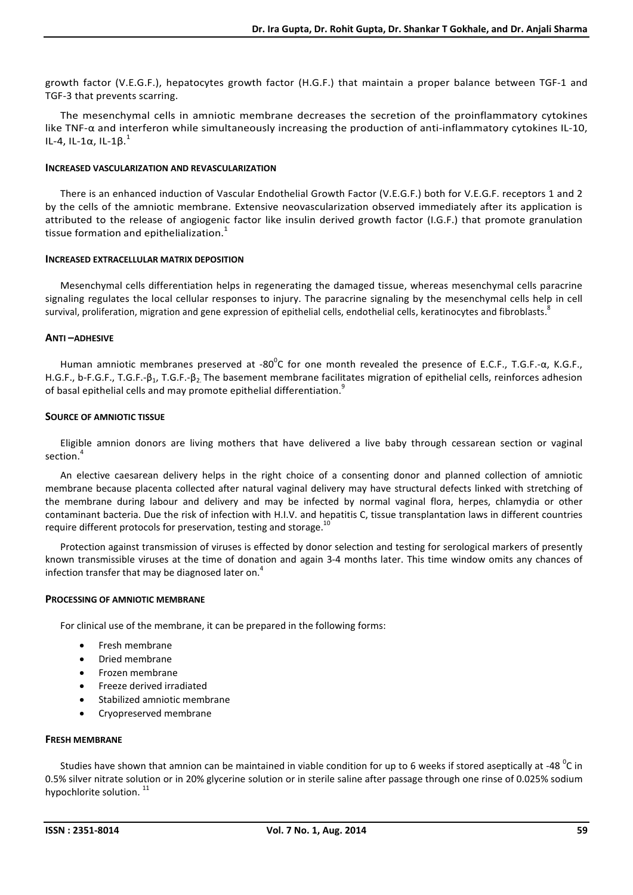growth factor (V.E.G.F.), hepatocytes growth factor (H.G.F.) that maintain a proper balance between TGF-1 and TGF-3 that prevents scarring.

The mesenchymal cells in amniotic membrane decreases the secretion of the proinflammatory cytokines like TNF-α and interferon while simultaneously increasing the production of anti-inflammatory cytokines IL-10, IL-4, IL-1α, IL-1β.<sup>1</sup>

## INCREASED VASCULARIZATION AND REVASCULARIZATION

There is an enhanced induction of Vascular Endothelial Growth Factor (V.E.G.F.) both for V.E.G.F. receptors 1 and 2 by the cells of the amniotic membrane. Extensive neovascularization observed immediately after its application is attributed to the release of angiogenic factor like insulin derived growth factor (I.G.F.) that promote granulation tissue formation and epithelialization.<sup>1</sup>

## INCREASED EXTRACELLULAR MATRIX DEPOSITION

Mesenchymal cells differentiation helps in regenerating the damaged tissue, whereas mesenchymal cells paracrine signaling regulates the local cellular responses to injury. The paracrine signaling by the mesenchymal cells help in cell survival, proliferation, migration and gene expression of epithelial cells, endothelial cells, keratinocytes and fibroblasts. $^8$ 

## ANTI –ADHESIVE

Human amniotic membranes preserved at -80<sup>o</sup>C for one month revealed the presence of E.C.F., T.G.F.- $\alpha$ , K.G.F., H.G.F., b-F.G.F., T.G.F.-β1, T.G.F.-β2. The basement membrane facilitates migration of epithelial cells, reinforces adhesion of basal epithelial cells and may promote epithelial differentiation.<sup>9</sup>

## SOURCE OF AMNIOTIC TISSUE

Eligible amnion donors are living mothers that have delivered a live baby through cessarean section or vaginal section.<sup>4</sup>

An elective caesarean delivery helps in the right choice of a consenting donor and planned collection of amniotic membrane because placenta collected after natural vaginal delivery may have structural defects linked with stretching of the membrane during labour and delivery and may be infected by normal vaginal flora, herpes, chlamydia or other contaminant bacteria. Due the risk of infection with H.I.V. and hepatitis C, tissue transplantation laws in different countries require different protocols for preservation, testing and storage.<sup>10</sup>

Protection against transmission of viruses is effected by donor selection and testing for serological markers of presently known transmissible viruses at the time of donation and again 3-4 months later. This time window omits any chances of infection transfer that may be diagnosed later on.<sup>4</sup>

#### PROCESSING OF AMNIOTIC MEMBRANE

For clinical use of the membrane, it can be prepared in the following forms:

- Fresh membrane
- Dried membrane
- Frozen membrane
- Freeze derived irradiated
- Stabilized amniotic membrane
- Cryopreserved membrane

## FRESH MEMBRANE

Studies have shown that amnion can be maintained in viable condition for up to 6 weeks if stored aseptically at -48  $^0$ C in 0.5% silver nitrate solution or in 20% glycerine solution or in sterile saline after passage through one rinse of 0.025% sodium hypochlorite solution.<sup>11</sup>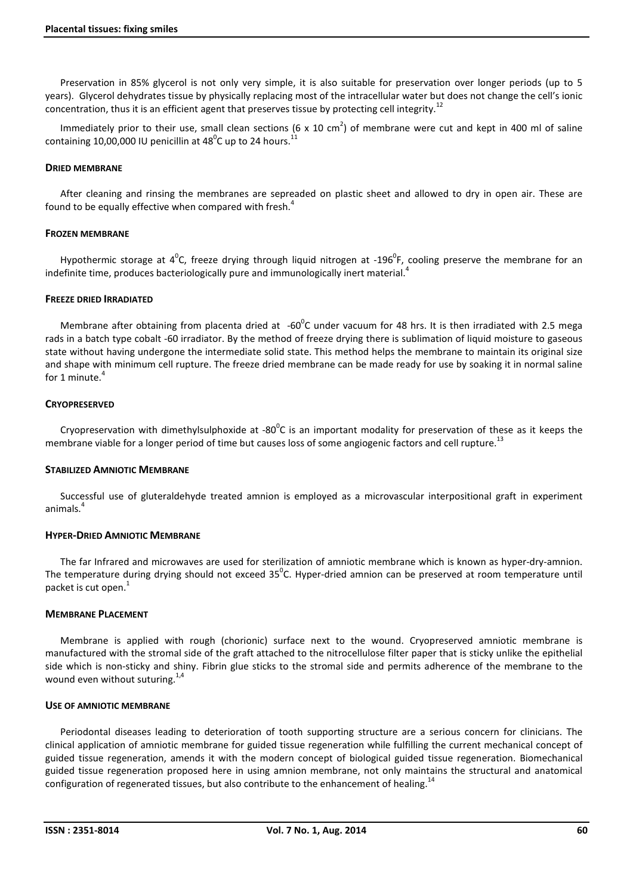Preservation in 85% glycerol is not only very simple, it is also suitable for preservation over longer periods (up to 5 years). Glycerol dehydrates tissue by physically replacing most of the intracellular water but does not change the cell's ionic concentration, thus it is an efficient agent that preserves tissue by protecting cell integrity.<sup>12</sup>

Immediately prior to their use, small clean sections (6 x 10 cm<sup>2</sup>) of membrane were cut and kept in 400 ml of saline containing 10,00,000 IU penicillin at 48<sup>0</sup>C up to 24 hours.<sup>11</sup>

## DRIED MEMBRANE

After cleaning and rinsing the membranes are sepreaded on plastic sheet and allowed to dry in open air. These are found to be equally effective when compared with fresh.<sup>4</sup>

## FROZEN MEMBRANE

Hypothermic storage at  $4^0$ C, freeze drying through liquid nitrogen at -196<sup>0</sup>F, cooling preserve the membrane for an indefinite time, produces bacteriologically pure and immunologically inert material.<sup>4</sup>

## FREEZE DRIED IRRADIATED

Membrane after obtaining from placenta dried at  $-60^{\circ}$ C under vacuum for 48 hrs. It is then irradiated with 2.5 mega rads in a batch type cobalt -60 irradiator. By the method of freeze drying there is sublimation of liquid moisture to gaseous state without having undergone the intermediate solid state. This method helps the membrane to maintain its original size and shape with minimum cell rupture. The freeze dried membrane can be made ready for use by soaking it in normal saline for 1 minute. 4

## **CRYOPRESERVED**

Cryopreservation with dimethylsulphoxide at -80 $^0$ C is an important modality for preservation of these as it keeps the membrane viable for a longer period of time but causes loss of some angiogenic factors and cell rupture.<sup>13</sup>

#### STABILIZED AMNIOTIC MEMBRANE

Successful use of gluteraldehyde treated amnion is employed as a microvascular interpositional graft in experiment animals.<sup>4</sup>

#### HYPER-DRIED AMNIOTIC MEMBRANE

The far Infrared and microwaves are used for sterilization of amniotic membrane which is known as hyper-dry-amnion. The temperature during drying should not exceed 35<sup>0</sup>C. Hyper-dried amnion can be preserved at room temperature until packet is cut open.<sup>1</sup>

#### MEMBRANE PLACEMENT

Membrane is applied with rough (chorionic) surface next to the wound. Cryopreserved amniotic membrane is manufactured with the stromal side of the graft attached to the nitrocellulose filter paper that is sticky unlike the epithelial side which is non-sticky and shiny. Fibrin glue sticks to the stromal side and permits adherence of the membrane to the wound even without suturing. $1/4$ 

#### USE OF AMNIOTIC MEMBRANE

Periodontal diseases leading to deterioration of tooth supporting structure are a serious concern for clinicians. The clinical application of amniotic membrane for guided tissue regeneration while fulfilling the current mechanical concept of guided tissue regeneration, amends it with the modern concept of biological guided tissue regeneration. Biomechanical guided tissue regeneration proposed here in using amnion membrane, not only maintains the structural and anatomical configuration of regenerated tissues, but also contribute to the enhancement of healing.<sup>14</sup>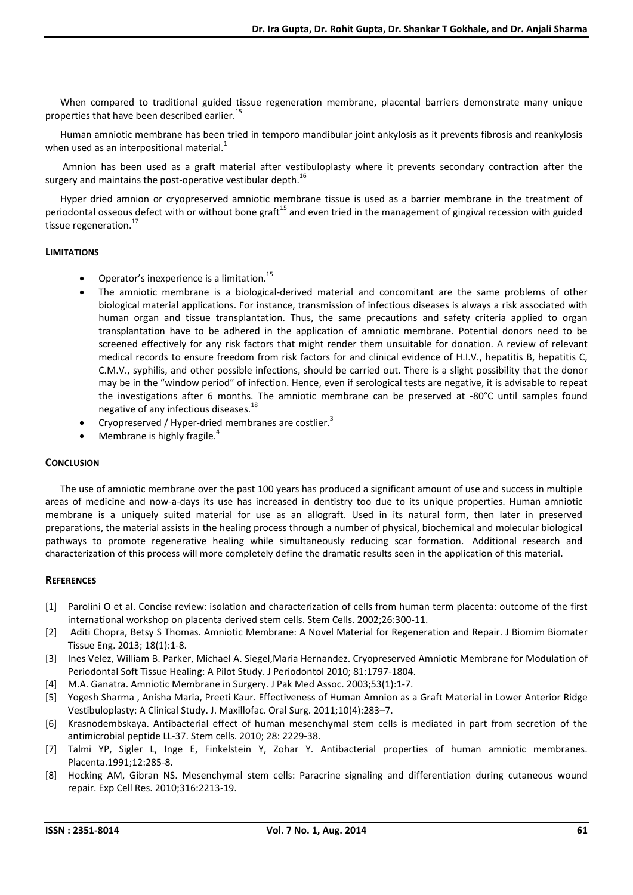When compared to traditional guided tissue regeneration membrane, placental barriers demonstrate many unique properties that have been described earlier.<sup>15</sup>

Human amniotic membrane has been tried in temporo mandibular joint ankylosis as it prevents fibrosis and reankylosis when used as an interpositional material.<sup>1</sup>

Amnion has been used as a graft material after vestibuloplasty where it prevents secondary contraction after the surgery and maintains the post-operative vestibular depth.<sup>16</sup>

Hyper dried amnion or cryopreserved amniotic membrane tissue is used as a barrier membrane in the treatment of periodontal osseous defect with or without bone graft<sup>15</sup> and even tried in the management of gingival recession with guided tissue regeneration.<sup>17</sup>

## LIMITATIONS

- Operator's inexperience is a limitation.<sup>15</sup>
- The amniotic membrane is a biological-derived material and concomitant are the same problems of other biological material applications. For instance, transmission of infectious diseases is always a risk associated with human organ and tissue transplantation. Thus, the same precautions and safety criteria applied to organ transplantation have to be adhered in the application of amniotic membrane. Potential donors need to be screened effectively for any risk factors that might render them unsuitable for donation. A review of relevant medical records to ensure freedom from risk factors for and clinical evidence of H.I.V., hepatitis B, hepatitis C, C.M.V., syphilis, and other possible infections, should be carried out. There is a slight possibility that the donor may be in the "window period" of infection. Hence, even if serological tests are negative, it is advisable to repeat the investigations after 6 months. The amniotic membrane can be preserved at -80°C until samples found negative of any infectious diseases.<sup>18</sup>
- Cryopreserved / Hyper-dried membranes are costlier.<sup>3</sup>
- Membrane is highly fragile.<sup>4</sup>

# **CONCLUSION**

The use of amniotic membrane over the past 100 years has produced a significant amount of use and success in multiple areas of medicine and now-a-days its use has increased in dentistry too due to its unique properties. Human amniotic membrane is a uniquely suited material for use as an allograft. Used in its natural form, then later in preserved preparations, the material assists in the healing process through a number of physical, biochemical and molecular biological pathways to promote regenerative healing while simultaneously reducing scar formation. Additional research and characterization of this process will more completely define the dramatic results seen in the application of this material.

# **REFERENCES**

- [1] Parolini O et al. Concise review: isolation and characterization of cells from human term placenta: outcome of the first international workshop on placenta derived stem cells. Stem Cells. 2002;26:300-11.
- [2] Aditi Chopra, Betsy S Thomas. Amniotic Membrane: A Novel Material for Regeneration and Repair. J Biomim Biomater Tissue Eng. 2013; 18(1):1-8.
- [3] Ines Velez, William B. Parker, Michael A. Siegel,Maria Hernandez. Cryopreserved Amniotic Membrane for Modulation of Periodontal Soft Tissue Healing: A Pilot Study. J Periodontol 2010; 81:1797-1804.
- [4] M.A. Ganatra. Amniotic Membrane in Surgery. J Pak Med Assoc. 2003;53(1):1-7.
- [5] Yogesh Sharma , Anisha Maria, Preeti Kaur. Effectiveness of Human Amnion as a Graft Material in Lower Anterior Ridge Vestibuloplasty: A Clinical Study. J. Maxillofac. Oral Surg. 2011;10(4):283–7.
- [6] Krasnodembskaya. Antibacterial effect of human mesenchymal stem cells is mediated in part from secretion of the antimicrobial peptide LL-37. Stem cells. 2010; 28: 2229-38.
- [7] Talmi YP, Sigler L, Inge E, Finkelstein Y, Zohar Y. Antibacterial properties of human amniotic membranes. Placenta.1991;12:285-8.
- [8] Hocking AM, Gibran NS. Mesenchymal stem cells: Paracrine signaling and differentiation during cutaneous wound repair. Exp Cell Res. 2010;316:2213-19.